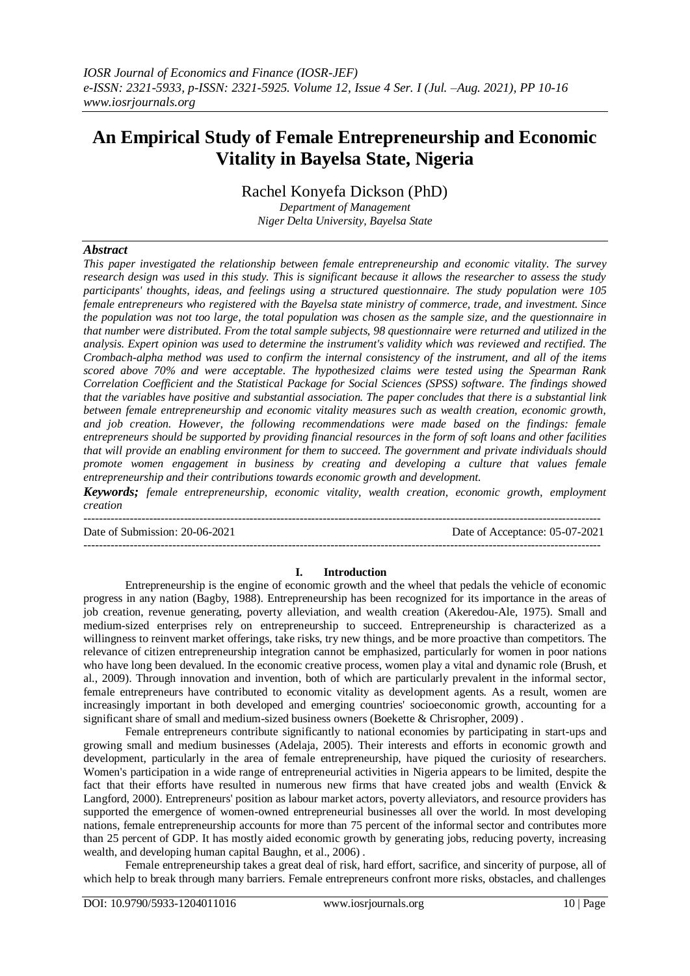# **An Empirical Study of Female Entrepreneurship and Economic Vitality in Bayelsa State, Nigeria**

Rachel Konyefa Dickson (PhD)

*Department of Management Niger Delta University, Bayelsa State*

## *Abstract*

*This paper investigated the relationship between female entrepreneurship and economic vitality. The survey research design was used in this study. This is significant because it allows the researcher to assess the study participants' thoughts, ideas, and feelings using a structured questionnaire. The study population were 105 female entrepreneurs who registered with the Bayelsa state ministry of commerce, trade, and investment. Since the population was not too large, the total population was chosen as the sample size, and the questionnaire in that number were distributed. From the total sample subjects, 98 questionnaire were returned and utilized in the analysis. Expert opinion was used to determine the instrument's validity which was reviewed and rectified. The Crombach-alpha method was used to confirm the internal consistency of the instrument, and all of the items scored above 70% and were acceptable. The hypothesized claims were tested using the Spearman Rank Correlation Coefficient and the Statistical Package for Social Sciences (SPSS) software. The findings showed that the variables have positive and substantial association. The paper concludes that there is a substantial link between female entrepreneurship and economic vitality measures such as wealth creation, economic growth, and job creation. However, the following recommendations were made based on the findings: female entrepreneurs should be supported by providing financial resources in the form of soft loans and other facilities that will provide an enabling environment for them to succeed. The government and private individuals should promote women engagement in business by creating and developing a culture that values female entrepreneurship and their contributions towards economic growth and development.*

*Keywords; female entrepreneurship, economic vitality, wealth creation, economic growth, employment creation*

-------------------------------------------------------------------------------------------------------------------------------------- Date of Submission: 20-06-2021 Date of Acceptance: 05-07-2021 --------------------------------------------------------------------------------------------------------------------------------------

### **I. Introduction**

Entrepreneurship is the engine of economic growth and the wheel that pedals the vehicle of economic progress in any nation (Bagby, 1988). Entrepreneurship has been recognized for its importance in the areas of job creation, revenue generating, poverty alleviation, and wealth creation (Akeredou-Ale, 1975). Small and medium-sized enterprises rely on entrepreneurship to succeed. Entrepreneurship is characterized as a willingness to reinvent market offerings, take risks, try new things, and be more proactive than competitors. The relevance of citizen entrepreneurship integration cannot be emphasized, particularly for women in poor nations who have long been devalued. In the economic creative process, women play a vital and dynamic role (Brush, et al., 2009). Through innovation and invention, both of which are particularly prevalent in the informal sector, female entrepreneurs have contributed to economic vitality as development agents. As a result, women are increasingly important in both developed and emerging countries' socioeconomic growth, accounting for a significant share of small and medium-sized business owners (Boekette & Chrisropher, 2009) .

Female entrepreneurs contribute significantly to national economies by participating in start-ups and growing small and medium businesses (Adelaja, 2005). Their interests and efforts in economic growth and development, particularly in the area of female entrepreneurship, have piqued the curiosity of researchers. Women's participation in a wide range of entrepreneurial activities in Nigeria appears to be limited, despite the fact that their efforts have resulted in numerous new firms that have created jobs and wealth (Envick & Langford, 2000). Entrepreneurs' position as labour market actors, poverty alleviators, and resource providers has supported the emergence of women-owned entrepreneurial businesses all over the world. In most developing nations, female entrepreneurship accounts for more than 75 percent of the informal sector and contributes more than 25 percent of GDP. It has mostly aided economic growth by generating jobs, reducing poverty, increasing wealth, and developing human capital Baughn, et al., 2006) .

Female entrepreneurship takes a great deal of risk, hard effort, sacrifice, and sincerity of purpose, all of which help to break through many barriers. Female entrepreneurs confront more risks, obstacles, and challenges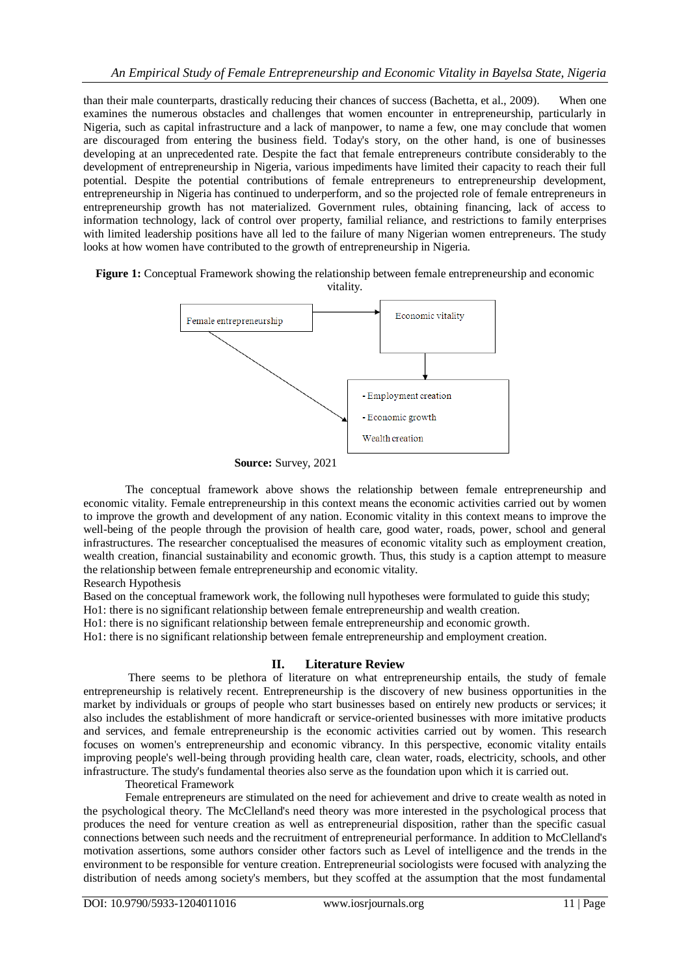than their male counterparts, drastically reducing their chances of success (Bachetta, et al., 2009). When one examines the numerous obstacles and challenges that women encounter in entrepreneurship, particularly in Nigeria, such as capital infrastructure and a lack of manpower, to name a few, one may conclude that women are discouraged from entering the business field. Today's story, on the other hand, is one of businesses developing at an unprecedented rate. Despite the fact that female entrepreneurs contribute considerably to the development of entrepreneurship in Nigeria, various impediments have limited their capacity to reach their full potential. Despite the potential contributions of female entrepreneurs to entrepreneurship development, entrepreneurship in Nigeria has continued to underperform, and so the projected role of female entrepreneurs in entrepreneurship growth has not materialized. Government rules, obtaining financing, lack of access to information technology, lack of control over property, familial reliance, and restrictions to family enterprises with limited leadership positions have all led to the failure of many Nigerian women entrepreneurs. The study looks at how women have contributed to the growth of entrepreneurship in Nigeria.

#### **Figure 1:** Conceptual Framework showing the relationship between female entrepreneurship and economic vitality.



The conceptual framework above shows the relationship between female entrepreneurship and economic vitality. Female entrepreneurship in this context means the economic activities carried out by women to improve the growth and development of any nation. Economic vitality in this context means to improve the well-being of the people through the provision of health care, good water, roads, power, school and general infrastructures. The researcher conceptualised the measures of economic vitality such as employment creation, wealth creation, financial sustainability and economic growth. Thus, this study is a caption attempt to measure the relationship between female entrepreneurship and economic vitality.

Research Hypothesis

Based on the conceptual framework work, the following null hypotheses were formulated to guide this study;

Ho1: there is no significant relationship between female entrepreneurship and wealth creation.

Ho1: there is no significant relationship between female entrepreneurship and economic growth.

Ho1: there is no significant relationship between female entrepreneurship and employment creation.

## **II. Literature Review**

There seems to be plethora of literature on what entrepreneurship entails, the study of female entrepreneurship is relatively recent. Entrepreneurship is the discovery of new business opportunities in the market by individuals or groups of people who start businesses based on entirely new products or services; it also includes the establishment of more handicraft or service-oriented businesses with more imitative products and services, and female entrepreneurship is the economic activities carried out by women. This research focuses on women's entrepreneurship and economic vibrancy. In this perspective, economic vitality entails improving people's well-being through providing health care, clean water, roads, electricity, schools, and other infrastructure. The study's fundamental theories also serve as the foundation upon which it is carried out.

Theoretical Framework

Female entrepreneurs are stimulated on the need for achievement and drive to create wealth as noted in the psychological theory. The McClelland's need theory was more interested in the psychological process that produces the need for venture creation as well as entrepreneurial disposition, rather than the specific casual connections between such needs and the recruitment of entrepreneurial performance. In addition to McClelland's motivation assertions, some authors consider other factors such as Level of intelligence and the trends in the environment to be responsible for venture creation. Entrepreneurial sociologists were focused with analyzing the distribution of needs among society's members, but they scoffed at the assumption that the most fundamental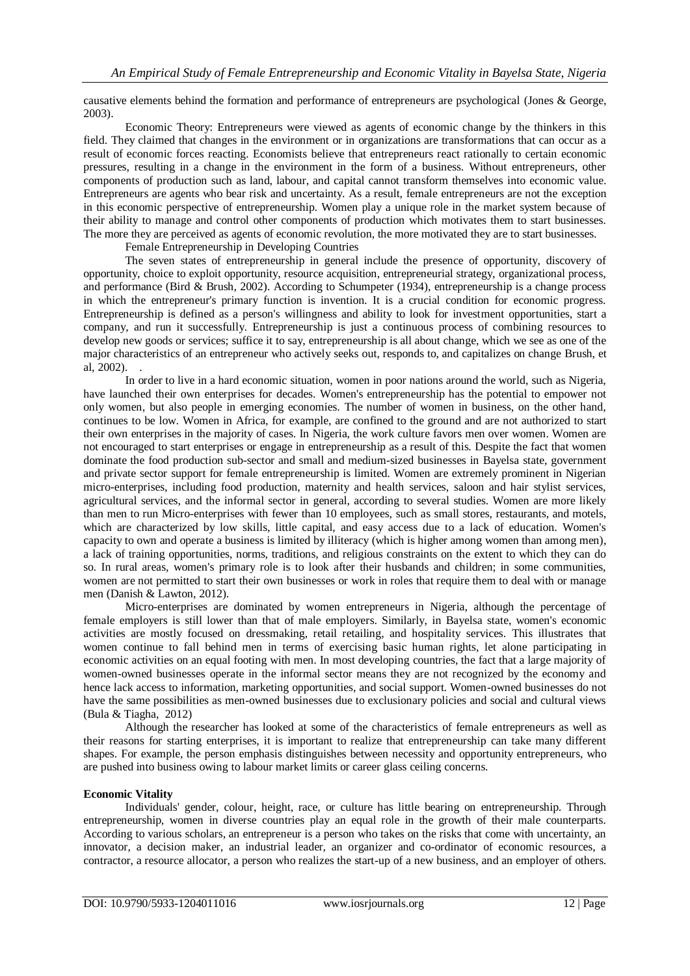causative elements behind the formation and performance of entrepreneurs are psychological (Jones & George, 2003).

Economic Theory: Entrepreneurs were viewed as agents of economic change by the thinkers in this field. They claimed that changes in the environment or in organizations are transformations that can occur as a result of economic forces reacting. Economists believe that entrepreneurs react rationally to certain economic pressures, resulting in a change in the environment in the form of a business. Without entrepreneurs, other components of production such as land, labour, and capital cannot transform themselves into economic value. Entrepreneurs are agents who bear risk and uncertainty. As a result, female entrepreneurs are not the exception in this economic perspective of entrepreneurship. Women play a unique role in the market system because of their ability to manage and control other components of production which motivates them to start businesses. The more they are perceived as agents of economic revolution, the more motivated they are to start businesses.

Female Entrepreneurship in Developing Countries

The seven states of entrepreneurship in general include the presence of opportunity, discovery of opportunity, choice to exploit opportunity, resource acquisition, entrepreneurial strategy, organizational process, and performance (Bird & Brush, 2002). According to Schumpeter (1934), entrepreneurship is a change process in which the entrepreneur's primary function is invention. It is a crucial condition for economic progress. Entrepreneurship is defined as a person's willingness and ability to look for investment opportunities, start a company, and run it successfully. Entrepreneurship is just a continuous process of combining resources to develop new goods or services; suffice it to say, entrepreneurship is all about change, which we see as one of the major characteristics of an entrepreneur who actively seeks out, responds to, and capitalizes on change Brush, et al, 2002). .

In order to live in a hard economic situation, women in poor nations around the world, such as Nigeria, have launched their own enterprises for decades. Women's entrepreneurship has the potential to empower not only women, but also people in emerging economies. The number of women in business, on the other hand, continues to be low. Women in Africa, for example, are confined to the ground and are not authorized to start their own enterprises in the majority of cases. In Nigeria, the work culture favors men over women. Women are not encouraged to start enterprises or engage in entrepreneurship as a result of this. Despite the fact that women dominate the food production sub-sector and small and medium-sized businesses in Bayelsa state, government and private sector support for female entrepreneurship is limited. Women are extremely prominent in Nigerian micro-enterprises, including food production, maternity and health services, saloon and hair stylist services, agricultural services, and the informal sector in general, according to several studies. Women are more likely than men to run Micro-enterprises with fewer than 10 employees, such as small stores, restaurants, and motels, which are characterized by low skills, little capital, and easy access due to a lack of education. Women's capacity to own and operate a business is limited by illiteracy (which is higher among women than among men), a lack of training opportunities, norms, traditions, and religious constraints on the extent to which they can do so. In rural areas, women's primary role is to look after their husbands and children; in some communities, women are not permitted to start their own businesses or work in roles that require them to deal with or manage men (Danish & Lawton, 2012).

Micro-enterprises are dominated by women entrepreneurs in Nigeria, although the percentage of female employers is still lower than that of male employers. Similarly, in Bayelsa state, women's economic activities are mostly focused on dressmaking, retail retailing, and hospitality services. This illustrates that women continue to fall behind men in terms of exercising basic human rights, let alone participating in economic activities on an equal footing with men. In most developing countries, the fact that a large majority of women-owned businesses operate in the informal sector means they are not recognized by the economy and hence lack access to information, marketing opportunities, and social support. Women-owned businesses do not have the same possibilities as men-owned businesses due to exclusionary policies and social and cultural views (Bula & Tiagha, 2012)

Although the researcher has looked at some of the characteristics of female entrepreneurs as well as their reasons for starting enterprises, it is important to realize that entrepreneurship can take many different shapes. For example, the person emphasis distinguishes between necessity and opportunity entrepreneurs, who are pushed into business owing to labour market limits or career glass ceiling concerns.

### **Economic Vitality**

Individuals' gender, colour, height, race, or culture has little bearing on entrepreneurship. Through entrepreneurship, women in diverse countries play an equal role in the growth of their male counterparts. According to various scholars, an entrepreneur is a person who takes on the risks that come with uncertainty, an innovator, a decision maker, an industrial leader, an organizer and co-ordinator of economic resources, a contractor, a resource allocator, a person who realizes the start-up of a new business, and an employer of others.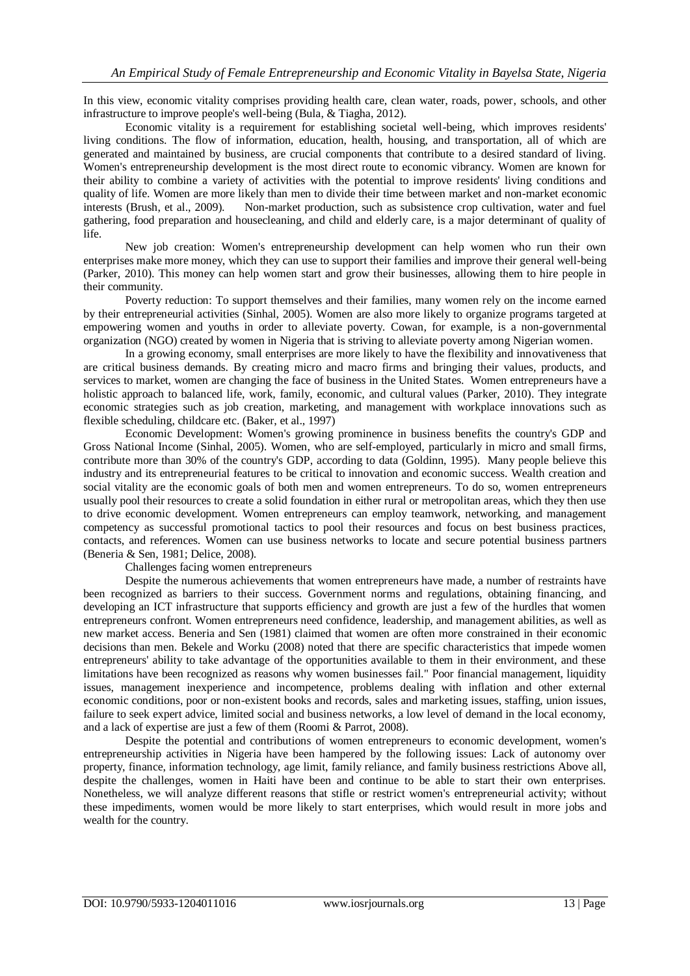In this view, economic vitality comprises providing health care, clean water, roads, power, schools, and other infrastructure to improve people's well-being (Bula, & Tiagha, 2012).

Economic vitality is a requirement for establishing societal well-being, which improves residents' living conditions. The flow of information, education, health, housing, and transportation, all of which are generated and maintained by business, are crucial components that contribute to a desired standard of living. Women's entrepreneurship development is the most direct route to economic vibrancy. Women are known for their ability to combine a variety of activities with the potential to improve residents' living conditions and quality of life. Women are more likely than men to divide their time between market and non-market economic interests (Brush, et al., 2009). Non-market production, such as subsistence crop cultivation, water and fuel gathering, food preparation and housecleaning, and child and elderly care, is a major determinant of quality of life.

New job creation: Women's entrepreneurship development can help women who run their own enterprises make more money, which they can use to support their families and improve their general well-being (Parker, 2010). This money can help women start and grow their businesses, allowing them to hire people in their community.

Poverty reduction: To support themselves and their families, many women rely on the income earned by their entrepreneurial activities (Sinhal, 2005). Women are also more likely to organize programs targeted at empowering women and youths in order to alleviate poverty. Cowan, for example, is a non-governmental organization (NGO) created by women in Nigeria that is striving to alleviate poverty among Nigerian women.

In a growing economy, small enterprises are more likely to have the flexibility and innovativeness that are critical business demands. By creating micro and macro firms and bringing their values, products, and services to market, women are changing the face of business in the United States. Women entrepreneurs have a holistic approach to balanced life, work, family, economic, and cultural values (Parker, 2010). They integrate economic strategies such as job creation, marketing, and management with workplace innovations such as flexible scheduling, childcare etc. (Baker, et al., 1997)

Economic Development: Women's growing prominence in business benefits the country's GDP and Gross National Income (Sinhal, 2005). Women, who are self-employed, particularly in micro and small firms, contribute more than 30% of the country's GDP, according to data (Goldinn, 1995). Many people believe this industry and its entrepreneurial features to be critical to innovation and economic success. Wealth creation and social vitality are the economic goals of both men and women entrepreneurs. To do so, women entrepreneurs usually pool their resources to create a solid foundation in either rural or metropolitan areas, which they then use to drive economic development. Women entrepreneurs can employ teamwork, networking, and management competency as successful promotional tactics to pool their resources and focus on best business practices, contacts, and references. Women can use business networks to locate and secure potential business partners (Beneria & Sen, 1981; Delice, 2008).

Challenges facing women entrepreneurs

Despite the numerous achievements that women entrepreneurs have made, a number of restraints have been recognized as barriers to their success. Government norms and regulations, obtaining financing, and developing an ICT infrastructure that supports efficiency and growth are just a few of the hurdles that women entrepreneurs confront. Women entrepreneurs need confidence, leadership, and management abilities, as well as new market access. Beneria and Sen (1981) claimed that women are often more constrained in their economic decisions than men. Bekele and Worku (2008) noted that there are specific characteristics that impede women entrepreneurs' ability to take advantage of the opportunities available to them in their environment, and these limitations have been recognized as reasons why women businesses fail." Poor financial management, liquidity issues, management inexperience and incompetence, problems dealing with inflation and other external economic conditions, poor or non-existent books and records, sales and marketing issues, staffing, union issues, failure to seek expert advice, limited social and business networks, a low level of demand in the local economy, and a lack of expertise are just a few of them (Roomi & Parrot, 2008).

Despite the potential and contributions of women entrepreneurs to economic development, women's entrepreneurship activities in Nigeria have been hampered by the following issues: Lack of autonomy over property, finance, information technology, age limit, family reliance, and family business restrictions Above all, despite the challenges, women in Haiti have been and continue to be able to start their own enterprises. Nonetheless, we will analyze different reasons that stifle or restrict women's entrepreneurial activity; without these impediments, women would be more likely to start enterprises, which would result in more jobs and wealth for the country.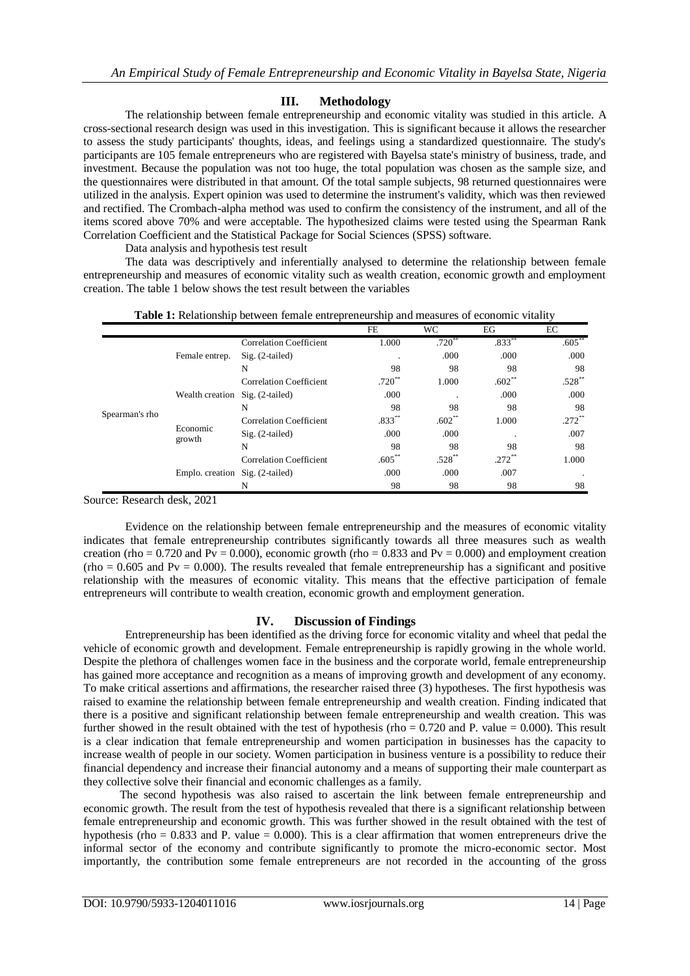## **III. Methodology**

The relationship between female entrepreneurship and economic vitality was studied in this article. A cross-sectional research design was used in this investigation. This is significant because it allows the researcher to assess the study participants' thoughts, ideas, and feelings using a standardized questionnaire. The study's participants are 105 female entrepreneurs who are registered with Bayelsa state's ministry of business, trade, and investment. Because the population was not too huge, the total population was chosen as the sample size, and the questionnaires were distributed in that amount. Of the total sample subjects, 98 returned questionnaires were utilized in the analysis. Expert opinion was used to determine the instrument's validity, which was then reviewed and rectified. The Crombach-alpha method was used to confirm the consistency of the instrument, and all of the items scored above 70% and were acceptable. The hypothesized claims were tested using the Spearman Rank Correlation Coefficient and the Statistical Package for Social Sciences (SPSS) software.

Data analysis and hypothesis test result

The data was descriptively and inferentially analysed to determine the relationship between female entrepreneurship and measures of economic vitality such as wealth creation, economic growth and employment creation. The table 1 below shows the test result between the variables

**Table 1:** Relationship between female entrepreneurship and measures of economic vitality

|                | $\overline{\phantom{a}}$        |                                |             |             |          |          |
|----------------|---------------------------------|--------------------------------|-------------|-------------|----------|----------|
|                |                                 |                                | FE          | WC.         | EG       | EC       |
| Spearman's rho | Female entrep.                  | <b>Correlation Coefficient</b> | 1.000       | $.720^{**}$ | $.833**$ | $.605**$ |
|                |                                 | $Sig. (2-tailed)$              | ٠.          | .000        | .000     | .000     |
|                |                                 | N                              | 98          | 98          | 98       | 98       |
|                | Wealth creation Sig. (2-tailed) | <b>Correlation Coefficient</b> | $.720^{**}$ | 1.000       | $.602**$ | $.528**$ |
|                |                                 |                                | .000        |             | .000     | .000     |
|                |                                 | N                              | 98          | 98          | 98       | 98       |
|                | Economic<br>growth              | <b>Correlation Coefficient</b> | $.833**$    | $.602**$    | 1.000    | $.272**$ |
|                |                                 | $Sig. (2-tailed)$              | .000        | .000        |          | .007     |
|                |                                 | N                              | 98          | 98          | 98       | 98       |
|                | Emplo. creation Sig. (2-tailed) | <b>Correlation Coefficient</b> | $.605**$    | $.528^{**}$ | .272     | 1.000    |
|                |                                 |                                | .000        | .000        | .007     |          |
|                |                                 | N                              | 98          | 98          | 98       | 98       |

Source: Research desk, 2021

Evidence on the relationship between female entrepreneurship and the measures of economic vitality indicates that female entrepreneurship contributes significantly towards all three measures such as wealth creation (rho = 0.720 and Pv = 0.000), economic growth (rho = 0.833 and Pv = 0.000) and employment creation  $(rho = 0.605$  and  $Pv = 0.000$ ). The results revealed that female entrepreneurship has a significant and positive relationship with the measures of economic vitality. This means that the effective participation of female entrepreneurs will contribute to wealth creation, economic growth and employment generation.

## **IV. Discussion of Findings**

Entrepreneurship has been identified as the driving force for economic vitality and wheel that pedal the vehicle of economic growth and development. Female entrepreneurship is rapidly growing in the whole world. Despite the plethora of challenges women face in the business and the corporate world, female entrepreneurship has gained more acceptance and recognition as a means of improving growth and development of any economy. To make critical assertions and affirmations, the researcher raised three (3) hypotheses. The first hypothesis was raised to examine the relationship between female entrepreneurship and wealth creation. Finding indicated that there is a positive and significant relationship between female entrepreneurship and wealth creation. This was further showed in the result obtained with the test of hypothesis (rho =  $0.720$  and P. value =  $0.000$ ). This result is a clear indication that female entrepreneurship and women participation in businesses has the capacity to increase wealth of people in our society. Women participation in business venture is a possibility to reduce their financial dependency and increase their financial autonomy and a means of supporting their male counterpart as they collective solve their financial and economic challenges as a family.

The second hypothesis was also raised to ascertain the link between female entrepreneurship and economic growth. The result from the test of hypothesis revealed that there is a significant relationship between female entrepreneurship and economic growth. This was further showed in the result obtained with the test of hypothesis (rho =  $0.833$  and P. value = 0.000). This is a clear affirmation that women entrepreneurs drive the informal sector of the economy and contribute significantly to promote the micro-economic sector. Most importantly, the contribution some female entrepreneurs are not recorded in the accounting of the gross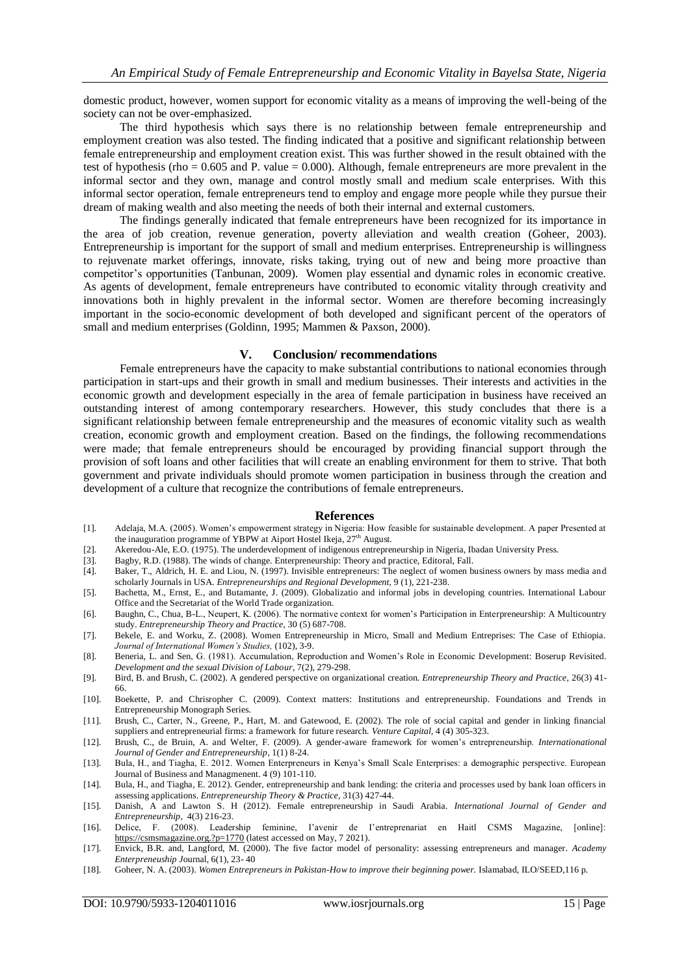domestic product, however, women support for economic vitality as a means of improving the well-being of the society can not be over-emphasized.

The third hypothesis which says there is no relationship between female entrepreneurship and employment creation was also tested. The finding indicated that a positive and significant relationship between female entrepreneurship and employment creation exist. This was further showed in the result obtained with the test of hypothesis (rho = 0.605 and P. value = 0.000). Although, female entrepreneurs are more prevalent in the informal sector and they own, manage and control mostly small and medium scale enterprises. With this informal sector operation, female entrepreneurs tend to employ and engage more people while they pursue their dream of making wealth and also meeting the needs of both their internal and external customers.

The findings generally indicated that female entrepreneurs have been recognized for its importance in the area of job creation, revenue generation, poverty alleviation and wealth creation (Goheer, 2003). Entrepreneurship is important for the support of small and medium enterprises. Entrepreneurship is willingness to rejuvenate market offerings, innovate, risks taking, trying out of new and being more proactive than competitor's opportunities (Tanbunan, 2009). Women play essential and dynamic roles in economic creative. As agents of development, female entrepreneurs have contributed to economic vitality through creativity and innovations both in highly prevalent in the informal sector. Women are therefore becoming increasingly important in the socio-economic development of both developed and significant percent of the operators of small and medium enterprises (Goldinn, 1995; Mammen & Paxson, 2000).

#### **V. Conclusion/ recommendations**

Female entrepreneurs have the capacity to make substantial contributions to national economies through participation in start-ups and their growth in small and medium businesses. Their interests and activities in the economic growth and development especially in the area of female participation in business have received an outstanding interest of among contemporary researchers. However, this study concludes that there is a significant relationship between female entrepreneurship and the measures of economic vitality such as wealth creation, economic growth and employment creation. Based on the findings, the following recommendations were made; that female entrepreneurs should be encouraged by providing financial support through the provision of soft loans and other facilities that will create an enabling environment for them to strive. That both government and private individuals should promote women participation in business through the creation and development of a culture that recognize the contributions of female entrepreneurs.

#### **References**

- [1]. Adelaja, M.A. (2005). Women's empowerment strategy in Nigeria: How feasible for sustainable development. A paper Presented at the inauguration programme of YBPW at Aiport Hostel Ikeja, 27<sup>th</sup> August.
- [2]. Akeredou-Ale, E.O. (1975). The underdevelopment of indigenous entrepreneurship in Nigeria, Ibadan University Press.
- [3]. Bagby, R.D. (1988). The winds of change. Enterpreneurship: Theory and practice, Editoral, Fall.
- [4]. Baker, T., Aldrich, H. E. and Liou, N. (1997). Invisible entrepreneurs: The neglect of women business owners by mass media and scholarly Journals in USA. *Entrepreneurships and Regional Development,* 9 (1), 221-238.
- [5]. Bachetta, M., Ernst, E., and Butamante, J. (2009). Globalizatio and informal jobs in developing countries. International Labour Office and the Secretariat of the World Trade organization.
- [6]. Baughn, C., Chua, B-L., Neupert, K. (2006). The normative context for women's Participation in Enterpreneurship: A Multicountry study. *Entrepreneurship Theory and Practice,* 30 (5) 687-708.
- [7]. Bekele, E. and Worku, Z. (2008). Women Entrepreneurship in Micro, Small and Medium Entreprises: The Case of Ethiopia. *Journal of International Women's Studies,* (102), 3-9.
- [8]. Beneria, L. and Sen, G. (1981). Accumulation, Reproduction and Women's Role in Economic Development: Boserup Revisited. *Development and the sexual Division of Labour*, 7(2), 279-298.
- [9]. Bird, B. and Brush, C. (2002). A gendered perspective on organizational creation. *Entrepreneurship Theory and Practice,* 26(3) 41- 66.
- [10]. Boekette, P. and Chrisropher C. (2009). Context matters: Institutions and entrepreneurship. Foundations and Trends in Entrepreneurship Monograph Series.
- [11]. Brush, C., Carter, N., Greene, P., Hart, M. and Gatewood, E. (2002). The role of social capital and gender in linking financial suppliers and entrepreneurial firms: a framework for future research. *Venture Capital,* 4 (4) 305-323.
- [12]. Brush, C., de Bruin, A. and Welter, F. (2009). A gender-aware framework for women's entrepreneurship. *Internationational Journal of Gender and Entrepreneurship,* 1(1) 8-24.
- [13]. Bula, H., and Tiagha, E. 2012. Women Enterpreneurs in Kenya's Small Scale Enterprises: a demographic perspective. European Journal of Business and Managmenent. 4 (9) 101-110.
- [14]. Bula, H., and Tiagha, E. 2012). Gender, entrepreneurship and bank lending: the criteria and processes used by bank loan officers in assessing applications. *Entrepreneurship Theory & Practice,* 31(3) 427-44.
- [15]. Danish, A and Lawton S. H (2012). Female entrepreneurship in Saudi Arabia. *International Journal of Gender and Entrepreneurship,* 4(3) 216-23.
- [16]. Delice, F. (2008). Leadership feminine, I'avenir de I'entreprenariat en Haitl CSMS Magazine, [online]: [https://csmsmagazine.org.?p=1770](https://csmsmagazine.org./?p=1770) (latest accessed on May, 7 2021).
- [17]. Envick, B.R. and, Langford, M. (2000). The five factor model of personality: assessing entrepreneurs and manager. *Academy Enterpreneuship J*ournal, 6(1), 23- 40
- [18]. Goheer, N. A. (2003). *Women Entrepreneurs in Pakistan-How to improve their beginning power.* Islamabad, ILO/SEED,116 p.